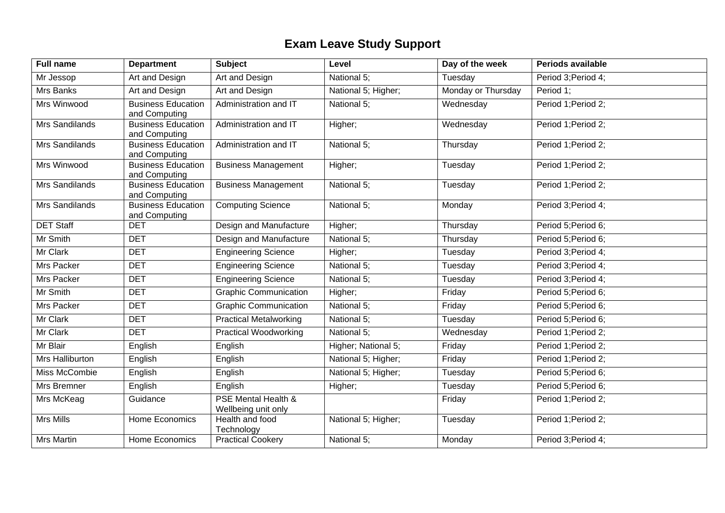## **Exam Leave Study Support**

| <b>Full name</b>  | <b>Department</b>                          | <b>Subject</b>                                        | Level               | Day of the week    | Periods available   |
|-------------------|--------------------------------------------|-------------------------------------------------------|---------------------|--------------------|---------------------|
| Mr Jessop         | Art and Design                             | Art and Design                                        | National 5;         | Tuesday            | Period 3; Period 4; |
| Mrs Banks         | Art and Design                             | Art and Design                                        | National 5; Higher; | Monday or Thursday | Period 1:           |
| Mrs Winwood       | <b>Business Education</b><br>and Computing | Administration and IT                                 | National 5;         | Wednesday          | Period 1; Period 2; |
| Mrs Sandilands    | <b>Business Education</b><br>and Computing | Administration and IT                                 | Higher;             | Wednesday          | Period 1; Period 2; |
| Mrs Sandilands    | <b>Business Education</b><br>and Computing | Administration and IT                                 | National 5:         | Thursday           | Period 1; Period 2; |
| Mrs Winwood       | <b>Business Education</b><br>and Computing | <b>Business Management</b>                            | Higher;             | Tuesday            | Period 1; Period 2; |
| Mrs Sandilands    | <b>Business Education</b><br>and Computing | <b>Business Management</b>                            | National 5;         | Tuesday            | Period 1; Period 2; |
| Mrs Sandilands    | <b>Business Education</b><br>and Computing | <b>Computing Science</b>                              | National 5;         | Monday             | Period 3; Period 4; |
| <b>DET Staff</b>  | <b>DET</b>                                 | Design and Manufacture                                | Higher;             | Thursday           | Period 5; Period 6; |
| Mr Smith          | <b>DET</b>                                 | Design and Manufacture                                | National 5;         | Thursday           | Period 5; Period 6; |
| Mr Clark          | <b>DET</b>                                 | <b>Engineering Science</b>                            | Higher;             | Tuesday            | Period 3; Period 4; |
| Mrs Packer        | <b>DET</b>                                 | <b>Engineering Science</b>                            | National 5;         | Tuesday            | Period 3; Period 4; |
| Mrs Packer        | <b>DET</b>                                 | Engineering Science                                   | National 5;         | Tuesday            | Period 3; Period 4; |
| Mr Smith          | <b>DET</b>                                 | <b>Graphic Communication</b>                          | Higher;             | Friday             | Period 5; Period 6; |
| Mrs Packer        | <b>DET</b>                                 | <b>Graphic Communication</b>                          | National 5;         | Friday             | Period 5; Period 6; |
| Mr Clark          | <b>DET</b>                                 | <b>Practical Metalworking</b>                         | National 5;         | Tuesday            | Period 5; Period 6; |
| Mr Clark          | <b>DET</b>                                 | <b>Practical Woodworking</b>                          | National 5;         | Wednesday          | Period 1; Period 2; |
| Mr Blair          | English                                    | English                                               | Higher; National 5; | Friday             | Period 1; Period 2; |
| Mrs Halliburton   | English                                    | English                                               | National 5; Higher; | Friday             | Period 1; Period 2; |
| Miss McCombie     | English                                    | English                                               | National 5; Higher; | Tuesday            | Period 5; Period 6; |
| Mrs Bremner       | English                                    | English                                               | Higher;             | Tuesday            | Period 5; Period 6; |
| Mrs McKeag        | Guidance                                   | <b>PSE Mental Health &amp;</b><br>Wellbeing unit only |                     | Friday             | Period 1; Period 2; |
| Mrs Mills         | Home Economics                             | Health and food<br>Technology                         | National 5; Higher; | Tuesday            | Period 1; Period 2; |
| <b>Mrs Martin</b> | Home Economics                             | <b>Practical Cookery</b>                              | National 5;         | Monday             | Period 3; Period 4; |